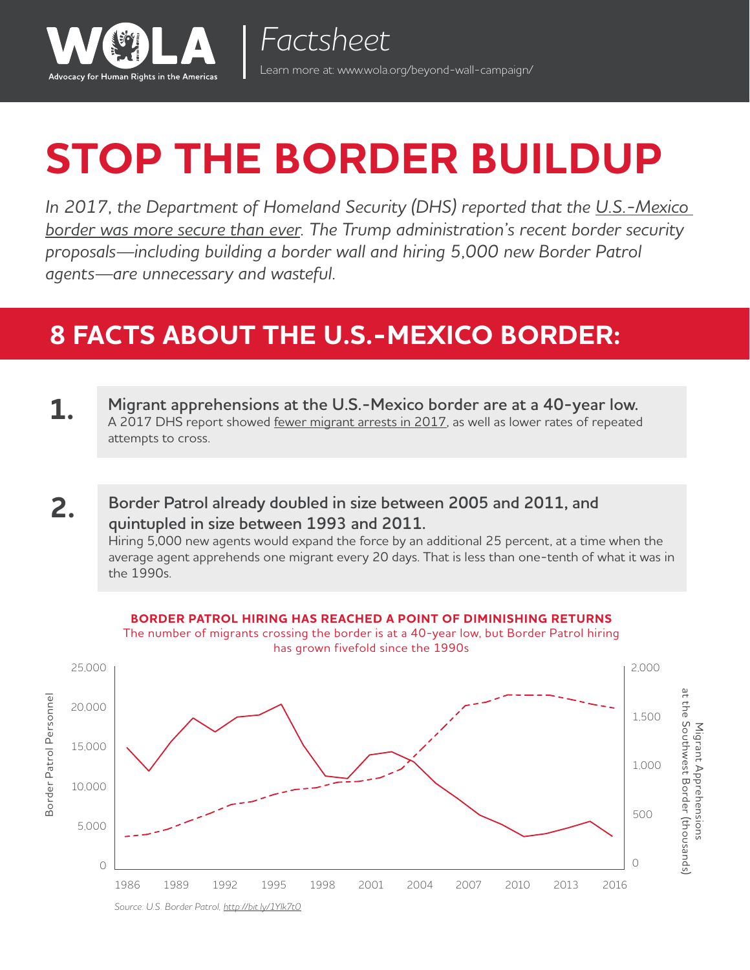

# **STOP THE BORDER BUILDUP**

*In 2017, the Department of Homeland Security (DHS) reported that the [U.S.-Mexico](https://www.washingtonpost.com/world/national-security/border-security-is-tougher-than-ever-dhs-report-finds/2017/09/18/5d198328-9a46-11e7-a527-3573bd073e02_story.html?utm_term=.fdc32f685784)  [border was more secure than ever](https://www.washingtonpost.com/world/national-security/border-security-is-tougher-than-ever-dhs-report-finds/2017/09/18/5d198328-9a46-11e7-a527-3573bd073e02_story.html?utm_term=.fdc32f685784). The Trump administration's recent border security proposals—including building a border wall and hiring 5,000 new Border Patrol agents—are unnecessary and wasteful.* 

### **8 FACTS ABOUT THE U.S.-MEXICO BORDER:**

- **1. Migrant apprehensions at the U.S.-Mexico border are at a 40-year low.** A 2017 DHS report showed [fewer migrant arrests in 2017,](https://www.dhs.gov/sites/default/files/publications/17_0914_estimates-of-border-security.pdf) as well as lower rates of repeated attempts to cross.
- **Border Patrol already doubled in size between 2005 and 2011, and quintupled in size between 1993 and 2011.** Hiring 5,000 new agents would expand the force by an additional 25 percent, at a time when the average agent apprehends one migrant every 20 days. That is less than one-tenth of what it was in the 1990s. **2.**



*Source: U.S. Border Patrol, <http://bit.ly/1Ylk7t0>*